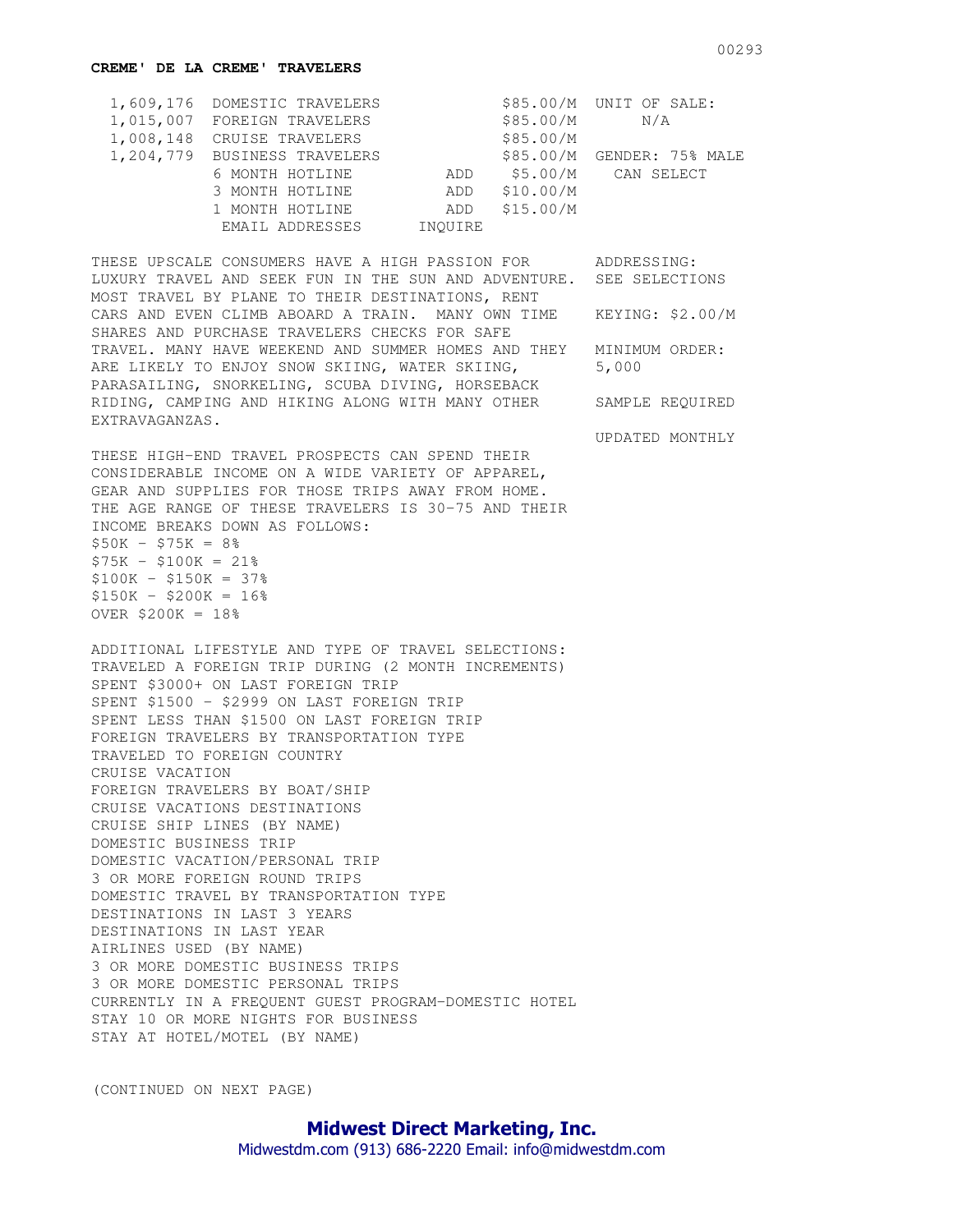## **CREME' DE LA CREME' TRAVELERS**

| 1,609,176 DOMESTIC TRAVELERS |         |           | \$85.00/M UNIT OF SALE:    |
|------------------------------|---------|-----------|----------------------------|
| 1,015,007 FOREIGN TRAVELERS  |         | \$85.00/M | N/A                        |
| 1,008,148 CRUISE TRAVELERS   |         | \$85.00/M |                            |
| 1,204,779 BUSINESS TRAVELERS |         |           | \$85.00/M GENDER: 75% MALE |
| 6 MONTH HOTLINE              | ADD     |           | \$5.00/M CAN SELECT        |
| 3 MONTH HOTLINE              | ADD     | \$10.00/M |                            |
| 1 MONTH HOTLINE              | ADD     | \$15.00/M |                            |
| EMAIL ADDRESSES              | INOUIRE |           |                            |

THESE UPSCALE CONSUMERS HAVE A HIGH PASSION FOR ADDRESSING: LUXURY TRAVEL AND SEEK FUN IN THE SUN AND ADVENTURE. SEE SELECTIONS MOST TRAVEL BY PLANE TO THEIR DESTINATIONS, RENT CARS AND EVEN CLIMB ABOARD A TRAIN. MANY OWN TIME KEYING: \$2.00/M SHARES AND PURCHASE TRAVELERS CHECKS FOR SAFE TRAVEL. MANY HAVE WEEKEND AND SUMMER HOMES AND THEY MINIMUM ORDER: ARE LIKELY TO ENJOY SNOW SKIING, WATER SKIING, 5,000 PARASAILING, SNORKELING, SCUBA DIVING, HORSEBACK RIDING, CAMPING AND HIKING ALONG WITH MANY OTHER SAMPLE REQUIRED EXTRAVAGANZAS.

THESE HIGH-END TRAVEL PROSPECTS CAN SPEND THEIR CONSIDERABLE INCOME ON A WIDE VARIETY OF APPAREL, GEAR AND SUPPLIES FOR THOSE TRIPS AWAY FROM HOME. THE AGE RANGE OF THESE TRAVELERS IS 30-75 AND THEIR INCOME BREAKS DOWN AS FOLLOWS:  $$50K - $75K = 8%$  $$75K - $100K = 21%$  $$100K - $150K = 37%$  $$150K - $200K = 16$ %  $OVER$  \$200 $K = 18\%$ 

ADDITIONAL LIFESTYLE AND TYPE OF TRAVEL SELECTIONS: TRAVELED A FOREIGN TRIP DURING (2 MONTH INCREMENTS) SPENT \$3000+ ON LAST FOREIGN TRIP SPENT \$1500 - \$2999 ON LAST FOREIGN TRIP SPENT LESS THAN \$1500 ON LAST FOREIGN TRIP FOREIGN TRAVELERS BY TRANSPORTATION TYPE TRAVELED TO FOREIGN COUNTRY CRUISE VACATION FOREIGN TRAVELERS BY BOAT/SHIP CRUISE VACATIONS DESTINATIONS CRUISE SHIP LINES (BY NAME) DOMESTIC BUSINESS TRIP DOMESTIC VACATION/PERSONAL TRIP 3 OR MORE FOREIGN ROUND TRIPS DOMESTIC TRAVEL BY TRANSPORTATION TYPE DESTINATIONS IN LAST 3 YEARS DESTINATIONS IN LAST YEAR AIRLINES USED (BY NAME) 3 OR MORE DOMESTIC BUSINESS TRIPS 3 OR MORE DOMESTIC PERSONAL TRIPS CURRENTLY IN A FREQUENT GUEST PROGRAM-DOMESTIC HOTEL STAY 10 OR MORE NIGHTS FOR BUSINESS STAY AT HOTEL/MOTEL (BY NAME)

(CONTINUED ON NEXT PAGE)

UPDATED MONTHLY